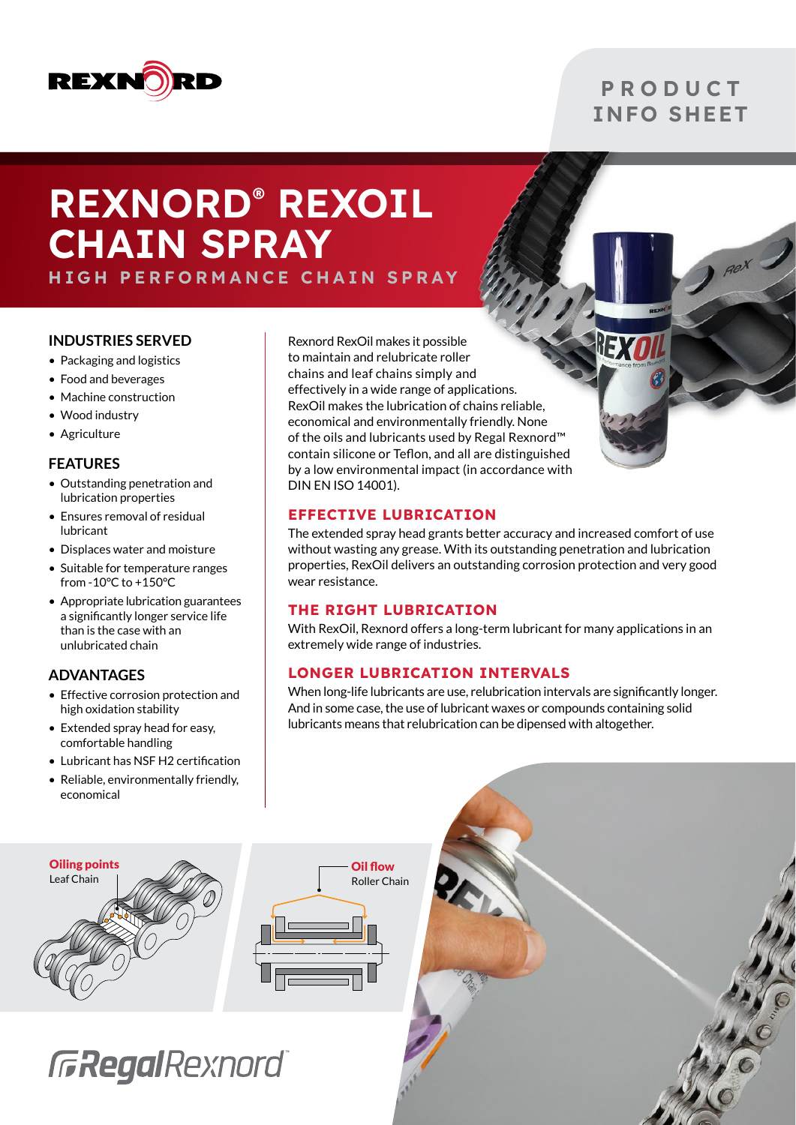

### **P R O D U C T** INFO SHEET

## REXNORD® REXOIL CHAIN SPRAY HIGH PERFORMANCE CHAIN SPRAY

### **INDUSTRIES SERVED**

- Packaging and logistics
- Food and beverages
- Machine construction
- Wood industry
- Agriculture

#### **FEATURES**

- Outstanding penetration and lubrication properties
- Ensures removal of residual lubricant
- Displaces water and moisture
- Suitable for temperature ranges from -10°C to +150°C
- Appropriate lubrication guarantees a significantly longer service life than is the case with an unlubricated chain

### **ADVANTAGES**

- Effective corrosion protection and high oxidation stability
- Extended spray head for easy, comfortable handling
- Lubricant has NSF H2 certification
- Reliable, environmentally friendly, economical

Rexnord RexOil makes it possible to maintain and relubricate roller chains and leaf chains simply and effectively in a wide range of applications. RexOil makes the lubrication of chains reliable, economical and environmentally friendly. None of the oils and lubricants used by Regal Rexnord™ contain silicone or Teflon, and all are distinguished by a low environmental impact (in accordance with DIN EN ISO 14001).

### EFFECTIVE LUBRICATION

The extended spray head grants better accuracy and increased comfort of use without wasting any grease. With its outstanding penetration and lubrication properties, RexOil delivers an outstanding corrosion protection and very good wear resistance.

### THE RIGHT LUBRICATION

With RexOil, Rexnord offers a long-term lubricant for many applications in an extremely wide range of industries.

### LONGER LUBRICATION INTERVALS

When long-life lubricants are use, relubrication intervals are significantly longer. And in some case, the use of lubricant waxes or compounds containing solid lubricants means that relubrication can be dipensed with altogether.